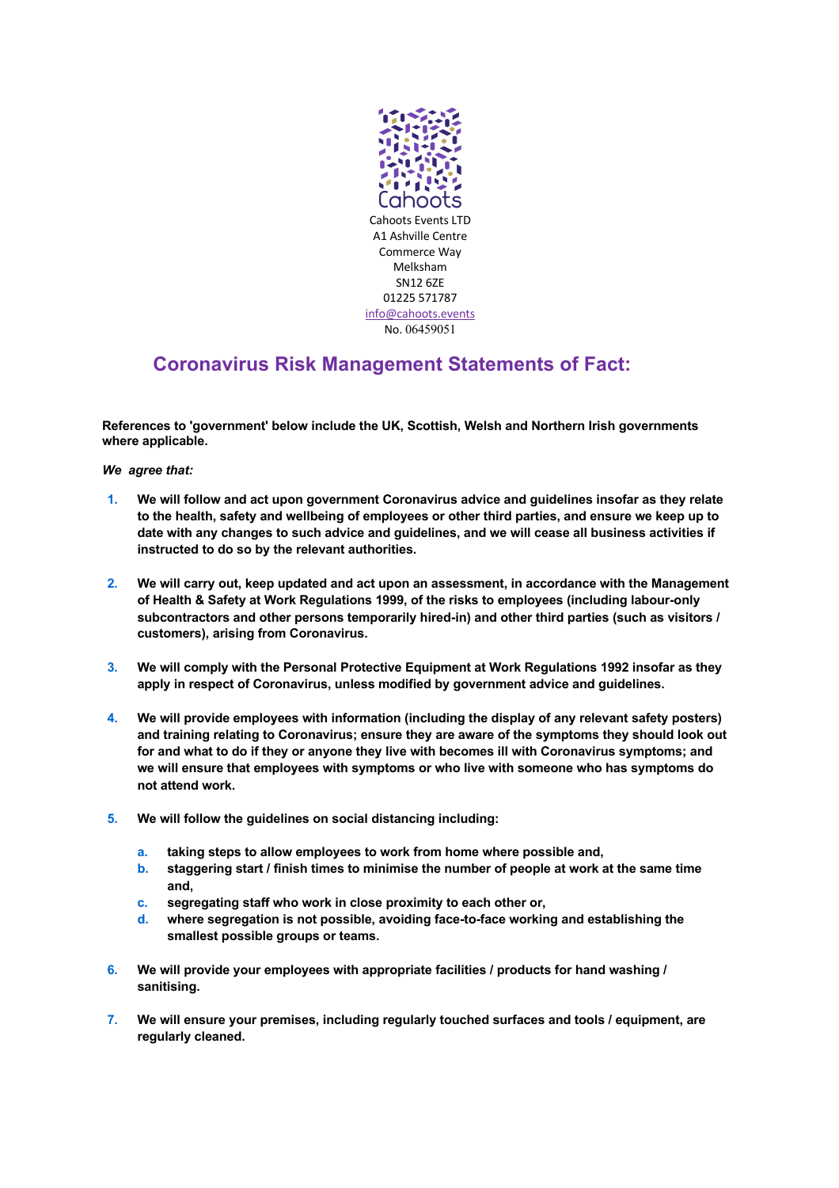

## **Coronavirus Risk Management Statements of Fact:**

**References to 'government' below include the UK, Scottish, Welsh and Northern Irish governments where applicable.**

*We agree that:*

- **1. We will follow and act upon government Coronavirus advice and guidelines insofar as they relate to the health, safety and wellbeing of employees or other third parties, and ensure we keep up to date with any changes to such advice and guidelines, and we will cease all business activities if instructed to do so by the relevant authorities.**
- **2. We will carry out, keep updated and act upon an assessment, in accordance with the Management of Health & Safety at Work Regulations 1999, of the risks to employees (including labour-only subcontractors and other persons temporarily hired-in) and other third parties (such as visitors / customers), arising from Coronavirus.**
- **3. We will comply with the Personal Protective Equipment at Work Regulations 1992 insofar as they apply in respect of Coronavirus, unless modified by government advice and guidelines.**
- **4. We will provide employees with information (including the display of any relevant safety posters) and training relating to Coronavirus; ensure they are aware of the symptoms they should look out for and what to do if they or anyone they live with becomes ill with Coronavirus symptoms; and we will ensure that employees with symptoms or who live with someone who has symptoms do not attend work.**
- **5. We will follow the guidelines on social distancing including:**
	- **a. taking steps to allow employees to work from home where possible and,**
	- **b. staggering start / finish times to minimise the number of people at work at the same time and,**
	- **c. segregating staff who work in close proximity to each other or,**
	- **d. where segregation is not possible, avoiding face-to-face working and establishing the smallest possible groups or teams.**
- **6. We will provide your employees with appropriate facilities / products for hand washing / sanitising.**
- **7. We will ensure your premises, including regularly touched surfaces and tools / equipment, are regularly cleaned.**